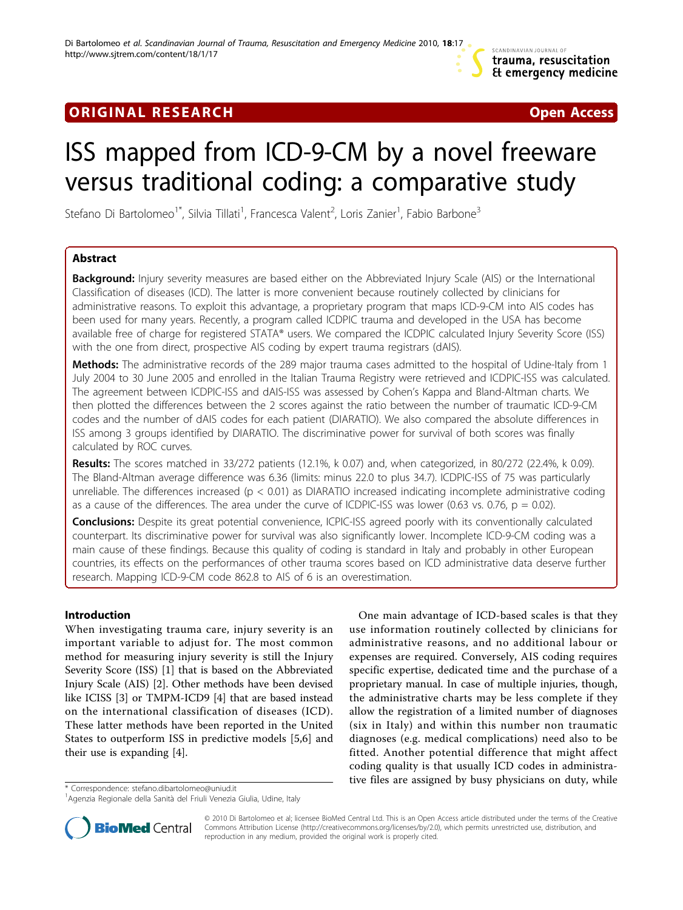

## **ORIGINAL RESEARCH CONSERVERS EXECUTE A** CONSERVERSE Open Access

# ISS mapped from ICD-9-CM by a novel freeware versus traditional coding: a comparative study

Stefano Di Bartolomeo<sup>1\*</sup>, Silvia Tillati<sup>1</sup>, Francesca Valent<sup>2</sup>, Loris Zanier<sup>1</sup>, Fabio Barbone<sup>3</sup>

## Abstract

**Background:** Injury severity measures are based either on the Abbreviated Injury Scale (AIS) or the International Classification of diseases (ICD). The latter is more convenient because routinely collected by clinicians for administrative reasons. To exploit this advantage, a proprietary program that maps ICD-9-CM into AIS codes has been used for many years. Recently, a program called ICDPIC trauma and developed in the USA has become available free of charge for registered STATA® users. We compared the ICDPIC calculated Injury Severity Score (ISS) with the one from direct, prospective AIS coding by expert trauma registrars (dAIS).

Methods: The administrative records of the 289 major trauma cases admitted to the hospital of Udine-Italy from 1 July 2004 to 30 June 2005 and enrolled in the Italian Trauma Registry were retrieved and ICDPIC-ISS was calculated. The agreement between ICDPIC-ISS and dAIS-ISS was assessed by Cohen's Kappa and Bland-Altman charts. We then plotted the differences between the 2 scores against the ratio between the number of traumatic ICD-9-CM codes and the number of dAIS codes for each patient (DIARATIO). We also compared the absolute differences in ISS among 3 groups identified by DIARATIO. The discriminative power for survival of both scores was finally calculated by ROC curves.

Results: The scores matched in 33/272 patients (12.1%, k 0.07) and, when categorized, in 80/272 (22.4%, k 0.09). The Bland-Altman average difference was 6.36 (limits: minus 22.0 to plus 34.7). ICDPIC-ISS of 75 was particularly unreliable. The differences increased ( $p < 0.01$ ) as DIARATIO increased indicating incomplete administrative coding as a cause of the differences. The area under the curve of ICDPIC-ISS was lower  $(0.63 \text{ vs. } 0.76, p = 0.02)$ .

Conclusions: Despite its great potential convenience, ICPIC-ISS agreed poorly with its conventionally calculated counterpart. Its discriminative power for survival was also significantly lower. Incomplete ICD-9-CM coding was a main cause of these findings. Because this quality of coding is standard in Italy and probably in other European countries, its effects on the performances of other trauma scores based on ICD administrative data deserve further research. Mapping ICD-9-CM code 862.8 to AIS of 6 is an overestimation.

## Introduction

When investigating trauma care, injury severity is an important variable to adjust for. The most common method for measuring injury severity is still the Injury Severity Score (ISS) [\[1](#page-6-0)] that is based on the Abbreviated Injury Scale (AIS) [[2\]](#page-6-0). Other methods have been devised like ICISS [[3\]](#page-6-0) or TMPM-ICD9 [\[4](#page-6-0)] that are based instead on the international classification of diseases (ICD). These latter methods have been reported in the United States to outperform ISS in predictive models [[5,6\]](#page-6-0) and their use is expanding [[4](#page-6-0)].

One main advantage of ICD-based scales is that they use information routinely collected by clinicians for administrative reasons, and no additional labour or expenses are required. Conversely, AIS coding requires specific expertise, dedicated time and the purchase of a proprietary manual. In case of multiple injuries, though, the administrative charts may be less complete if they allow the registration of a limited number of diagnoses (six in Italy) and within this number non traumatic diagnoses (e.g. medical complications) need also to be fitted. Another potential difference that might affect coding quality is that usually ICD codes in administrative files are assigned by busy physicians on duty, while \* Correspondence: [stefano.dibartolomeo@uniud.it](mailto:stefano.dibartolomeo@uniud.it)



© 2010 Di Bartolomeo et al; licensee BioMed Central Ltd. This is an Open Access article distributed under the terms of the Creative Commons Attribution License [\(http://creativecommons.org/licenses/by/2.0](http://creativecommons.org/licenses/by/2.0)), which permits unrestricted use, distribution, and reproduction in any medium, provided the original work is properly cited.

<sup>&</sup>lt;sup>1</sup>Agenzia Regionale della Sanità del Friuli Venezia Giulia, Udine, Italy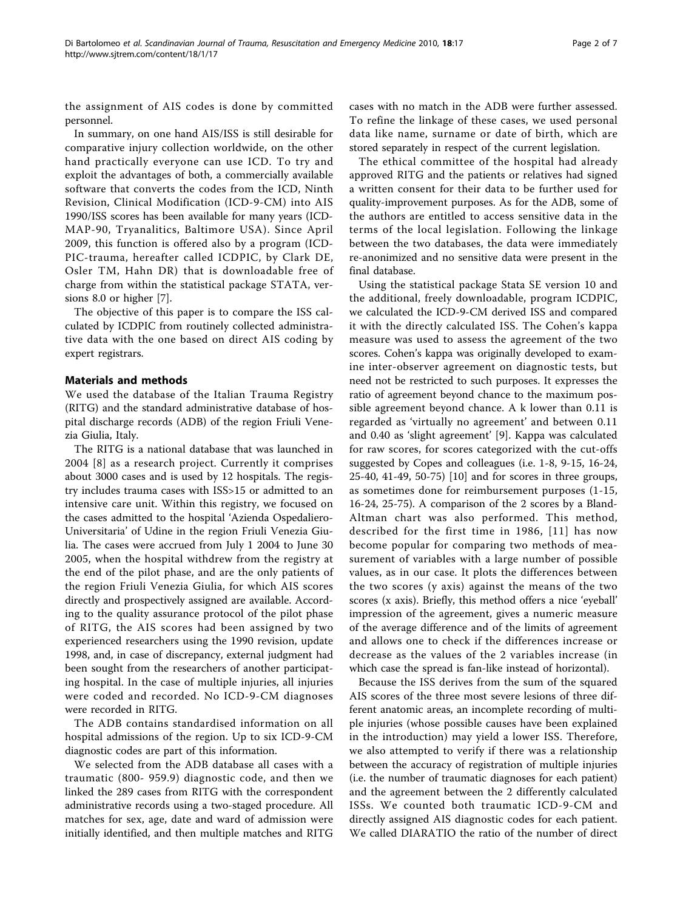the assignment of AIS codes is done by committed personnel.

In summary, on one hand AIS/ISS is still desirable for comparative injury collection worldwide, on the other hand practically everyone can use ICD. To try and exploit the advantages of both, a commercially available software that converts the codes from the ICD, Ninth Revision, Clinical Modification (ICD-9-CM) into AIS 1990/ISS scores has been available for many years (ICD-MAP-90, Tryanalitics, Baltimore USA). Since April 2009, this function is offered also by a program (ICD-PIC-trauma, hereafter called ICDPIC, by Clark DE, Osler TM, Hahn DR) that is downloadable free of charge from within the statistical package STATA, versions 8.0 or higher [[7\]](#page-6-0).

The objective of this paper is to compare the ISS calculated by ICDPIC from routinely collected administrative data with the one based on direct AIS coding by expert registrars.

## Materials and methods

We used the database of the Italian Trauma Registry (RITG) and the standard administrative database of hospital discharge records (ADB) of the region Friuli Venezia Giulia, Italy.

The RITG is a national database that was launched in 2004 [[8](#page-6-0)] as a research project. Currently it comprises about 3000 cases and is used by 12 hospitals. The registry includes trauma cases with ISS>15 or admitted to an intensive care unit. Within this registry, we focused on the cases admitted to the hospital 'Azienda Ospedaliero-Universitaria' of Udine in the region Friuli Venezia Giulia. The cases were accrued from July 1 2004 to June 30 2005, when the hospital withdrew from the registry at the end of the pilot phase, and are the only patients of the region Friuli Venezia Giulia, for which AIS scores directly and prospectively assigned are available. According to the quality assurance protocol of the pilot phase of RITG, the AIS scores had been assigned by two experienced researchers using the 1990 revision, update 1998, and, in case of discrepancy, external judgment had been sought from the researchers of another participating hospital. In the case of multiple injuries, all injuries were coded and recorded. No ICD-9-CM diagnoses were recorded in RITG.

The ADB contains standardised information on all hospital admissions of the region. Up to six ICD-9-CM diagnostic codes are part of this information.

We selected from the ADB database all cases with a traumatic (800- 959.9) diagnostic code, and then we linked the 289 cases from RITG with the correspondent administrative records using a two-staged procedure. All matches for sex, age, date and ward of admission were initially identified, and then multiple matches and RITG

cases with no match in the ADB were further assessed. To refine the linkage of these cases, we used personal data like name, surname or date of birth, which are stored separately in respect of the current legislation.

The ethical committee of the hospital had already approved RITG and the patients or relatives had signed a written consent for their data to be further used for quality-improvement purposes. As for the ADB, some of the authors are entitled to access sensitive data in the terms of the local legislation. Following the linkage between the two databases, the data were immediately re-anonimized and no sensitive data were present in the final database.

Using the statistical package Stata SE version 10 and the additional, freely downloadable, program ICDPIC, we calculated the ICD-9-CM derived ISS and compared it with the directly calculated ISS. The Cohen's kappa measure was used to assess the agreement of the two scores. Cohen's kappa was originally developed to examine inter-observer agreement on diagnostic tests, but need not be restricted to such purposes. It expresses the ratio of agreement beyond chance to the maximum possible agreement beyond chance. A k lower than 0.11 is regarded as 'virtually no agreement' and between 0.11 and 0.40 as 'slight agreement' [\[9](#page-6-0)]. Kappa was calculated for raw scores, for scores categorized with the cut-offs suggested by Copes and colleagues (i.e. 1-8, 9-15, 16-24, 25-40, 41-49, 50-75) [[10\]](#page-6-0) and for scores in three groups, as sometimes done for reimbursement purposes (1-15, 16-24, 25-75). A comparison of the 2 scores by a Bland-Altman chart was also performed. This method, described for the first time in 1986, [[11\]](#page-6-0) has now become popular for comparing two methods of measurement of variables with a large number of possible values, as in our case. It plots the differences between the two scores (y axis) against the means of the two scores (x axis). Briefly, this method offers a nice 'eyeball' impression of the agreement, gives a numeric measure of the average difference and of the limits of agreement and allows one to check if the differences increase or decrease as the values of the 2 variables increase (in which case the spread is fan-like instead of horizontal).

Because the ISS derives from the sum of the squared AIS scores of the three most severe lesions of three different anatomic areas, an incomplete recording of multiple injuries (whose possible causes have been explained in the introduction) may yield a lower ISS. Therefore, we also attempted to verify if there was a relationship between the accuracy of registration of multiple injuries (i.e. the number of traumatic diagnoses for each patient) and the agreement between the 2 differently calculated ISSs. We counted both traumatic ICD-9-CM and directly assigned AIS diagnostic codes for each patient. We called DIARATIO the ratio of the number of direct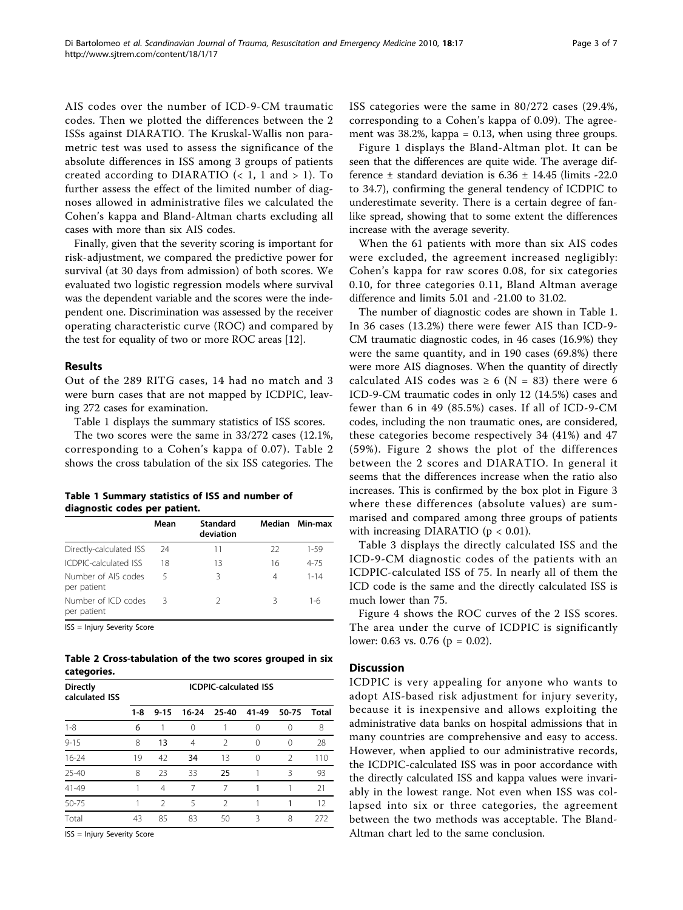AIS codes over the number of ICD-9-CM traumatic codes. Then we plotted the differences between the 2 ISSs against DIARATIO. The Kruskal-Wallis non parametric test was used to assess the significance of the absolute differences in ISS among 3 groups of patients created according to DIARATIO  $(< 1, 1$  and  $> 1$ ). To further assess the effect of the limited number of diagnoses allowed in administrative files we calculated the Cohen's kappa and Bland-Altman charts excluding all cases with more than six AIS codes.

Finally, given that the severity scoring is important for risk-adjustment, we compared the predictive power for survival (at 30 days from admission) of both scores. We evaluated two logistic regression models where survival was the dependent variable and the scores were the independent one. Discrimination was assessed by the receiver operating characteristic curve (ROC) and compared by the test for equality of two or more ROC areas [[12](#page-6-0)].

## Results

Out of the 289 RITG cases, 14 had no match and 3 were burn cases that are not mapped by ICDPIC, leaving 272 cases for examination.

Table 1 displays the summary statistics of ISS scores.

The two scores were the same in 33/272 cases (12.1%, corresponding to a Cohen's kappa of 0.07). Table 2 shows the cross tabulation of the six ISS categories. The

Table 1 Summary statistics of ISS and number of diagnostic codes per patient.

|                                    | Mean | <b>Standard</b><br>deviation |    | Median Min-max |
|------------------------------------|------|------------------------------|----|----------------|
| Directly-calculated ISS            | 24   | 11                           | 22 | $1 - 59$       |
| ICDPIC-calculated ISS              | 18   | 13                           | 16 | $4 - 75$       |
| Number of AIS codes<br>per patient | 5    | ς                            | 4  | $1 - 14$       |
| Number of ICD codes<br>per patient | 3    | 2                            | 3  | 1-6            |

ISS = Injury Severity Score

Table 2 Cross-tabulation of the two scores grouped in six categories.

| <b>Directly</b><br>calculated ISS | <b>ICDPIC-calculated ISS</b> |                |                |                |       |               |       |
|-----------------------------------|------------------------------|----------------|----------------|----------------|-------|---------------|-------|
|                                   | $1 - 8$                      | $9 - 15$       | $16-24$        | 25-40          | 41-49 | 50-75         | Total |
| $1 - 8$                           | 6                            |                | ∩              |                | ∩     | 0             | 8     |
| $9 - 15$                          | 8                            | 13             | $\overline{4}$ | $\mathfrak{D}$ | 0     | $\Omega$      | 28    |
| $16 - 24$                         | 19                           | 42             | 34             | 13             | ∩     | $\mathcal{P}$ | 110   |
| $25 - 40$                         | 8                            | 23             | 33             | 25             |       | ξ             | 93    |
| 41-49                             |                              | 4              | 7              | 7              |       |               | 21    |
| 50-75                             |                              | $\mathfrak{D}$ | 5              | $\mathcal{P}$  |       |               | 12    |
| Total                             | 43                           | 85             | 83             | 50             | 3     | 8             | 272   |

ISS = Injury Severity Score

ISS categories were the same in 80/272 cases (29.4%, corresponding to a Cohen's kappa of 0.09). The agreement was 38.2%, kappa = 0.13, when using three groups.

Figure [1](#page-3-0) displays the Bland-Altman plot. It can be seen that the differences are quite wide. The average difference  $\pm$  standard deviation is 6.36  $\pm$  14.45 (limits -22.0 to 34.7), confirming the general tendency of ICDPIC to underestimate severity. There is a certain degree of fanlike spread, showing that to some extent the differences increase with the average severity.

When the 61 patients with more than six AIS codes were excluded, the agreement increased negligibly: Cohen's kappa for raw scores 0.08, for six categories 0.10, for three categories 0.11, Bland Altman average difference and limits 5.01 and -21.00 to 31.02.

The number of diagnostic codes are shown in Table 1. In 36 cases (13.2%) there were fewer AIS than ICD-9- CM traumatic diagnostic codes, in 46 cases (16.9%) they were the same quantity, and in 190 cases (69.8%) there were more AIS diagnoses. When the quantity of directly calculated AIS codes was  $\geq 6$  (N = 83) there were 6 ICD-9-CM traumatic codes in only 12 (14.5%) cases and fewer than 6 in 49 (85.5%) cases. If all of ICD-9-CM codes, including the non traumatic ones, are considered, these categories become respectively 34 (41%) and 47 (59%). Figure [2](#page-3-0) shows the plot of the differences between the 2 scores and DIARATIO. In general it seems that the differences increase when the ratio also increases. This is confirmed by the box plot in Figure [3](#page-4-0) where these differences (absolute values) are summarised and compared among three groups of patients with increasing DIARATIO ( $p < 0.01$ ).

Table [3](#page-4-0) displays the directly calculated ISS and the ICD-9-CM diagnostic codes of the patients with an ICDPIC-calculated ISS of 75. In nearly all of them the ICD code is the same and the directly calculated ISS is much lower than 75.

Figure [4](#page-5-0) shows the ROC curves of the 2 ISS scores. The area under the curve of ICDPIC is significantly lower: 0.63 vs. 0.76 ( $p = 0.02$ ).

## **Discussion**

ICDPIC is very appealing for anyone who wants to adopt AIS-based risk adjustment for injury severity, because it is inexpensive and allows exploiting the administrative data banks on hospital admissions that in many countries are comprehensive and easy to access. However, when applied to our administrative records, the ICDPIC-calculated ISS was in poor accordance with the directly calculated ISS and kappa values were invariably in the lowest range. Not even when ISS was collapsed into six or three categories, the agreement between the two methods was acceptable. The Bland-Altman chart led to the same conclusion.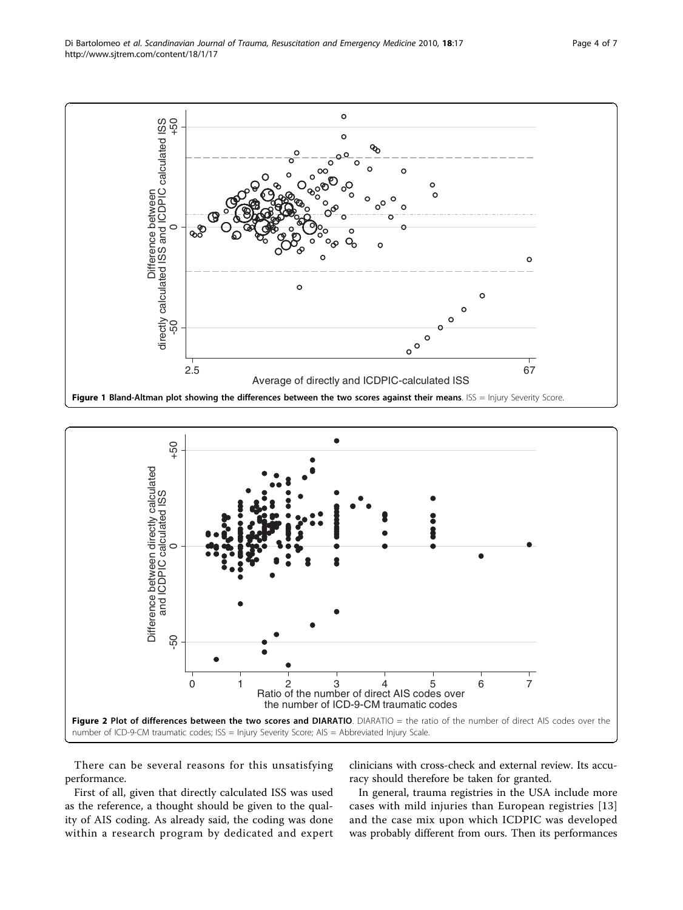<span id="page-3-0"></span>



There can be several reasons for this unsatisfying performance.

clinicians with cross-check and external review. Its accuracy should therefore be taken for granted.

First of all, given that directly calculated ISS was used as the reference, a thought should be given to the quality of AIS coding. As already said, the coding was done within a research program by dedicated and expert

In general, trauma registries in the USA include more cases with mild injuries than European registries [[13](#page-6-0)] and the case mix upon which ICDPIC was developed was probably different from ours. Then its performances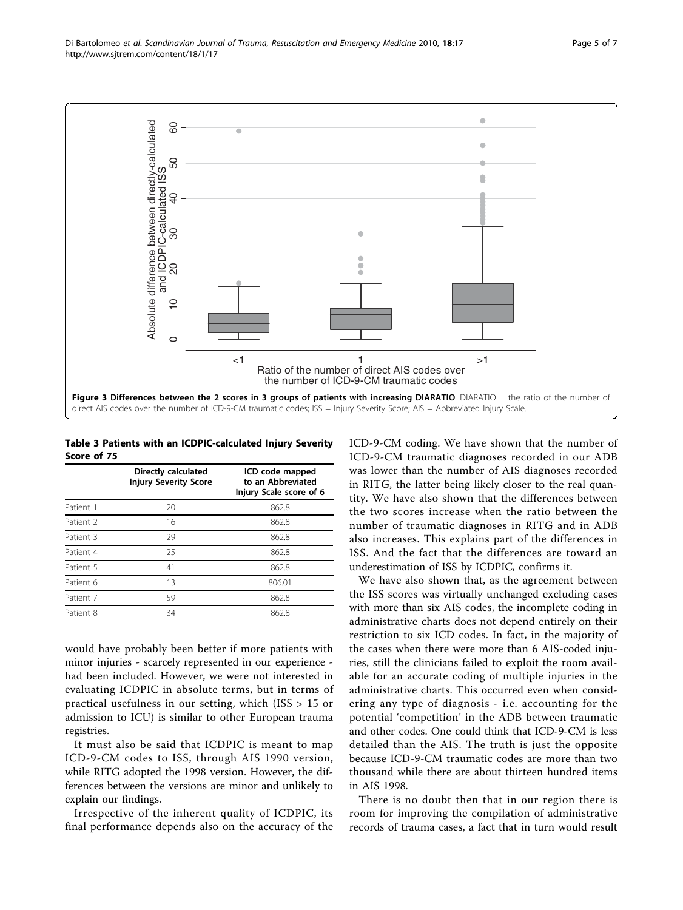<span id="page-4-0"></span>

Table 3 Patients with an ICDPIC-calculated Injury Severity Score of 75

|           | Directly calculated<br><b>Injury Severity Score</b> | ICD code mapped<br>to an Abbreviated<br>Injury Scale score of 6 |
|-----------|-----------------------------------------------------|-----------------------------------------------------------------|
| Patient 1 | 20                                                  | 862.8                                                           |
| Patient 2 | 16                                                  | 862.8                                                           |
| Patient 3 | 29                                                  | 862.8                                                           |
| Patient 4 | 25                                                  | 862.8                                                           |
| Patient 5 | 41                                                  | 862.8                                                           |
| Patient 6 | 13                                                  | 806.01                                                          |
| Patient 7 | 59                                                  | 862.8                                                           |
| Patient 8 | 34                                                  | 862.8                                                           |

would have probably been better if more patients with minor injuries - scarcely represented in our experience had been included. However, we were not interested in evaluating ICDPIC in absolute terms, but in terms of practical usefulness in our setting, which (ISS > 15 or admission to ICU) is similar to other European trauma registries.

It must also be said that ICDPIC is meant to map ICD-9-CM codes to ISS, through AIS 1990 version, while RITG adopted the 1998 version. However, the differences between the versions are minor and unlikely to explain our findings.

Irrespective of the inherent quality of ICDPIC, its final performance depends also on the accuracy of the ICD-9-CM coding. We have shown that the number of ICD-9-CM traumatic diagnoses recorded in our ADB was lower than the number of AIS diagnoses recorded in RITG, the latter being likely closer to the real quantity. We have also shown that the differences between the two scores increase when the ratio between the number of traumatic diagnoses in RITG and in ADB also increases. This explains part of the differences in ISS. And the fact that the differences are toward an underestimation of ISS by ICDPIC, confirms it.

We have also shown that, as the agreement between the ISS scores was virtually unchanged excluding cases with more than six AIS codes, the incomplete coding in administrative charts does not depend entirely on their restriction to six ICD codes. In fact, in the majority of the cases when there were more than 6 AIS-coded injuries, still the clinicians failed to exploit the room available for an accurate coding of multiple injuries in the administrative charts. This occurred even when considering any type of diagnosis - i.e. accounting for the potential 'competition' in the ADB between traumatic and other codes. One could think that ICD-9-CM is less detailed than the AIS. The truth is just the opposite because ICD-9-CM traumatic codes are more than two thousand while there are about thirteen hundred items in AIS 1998.

There is no doubt then that in our region there is room for improving the compilation of administrative records of trauma cases, a fact that in turn would result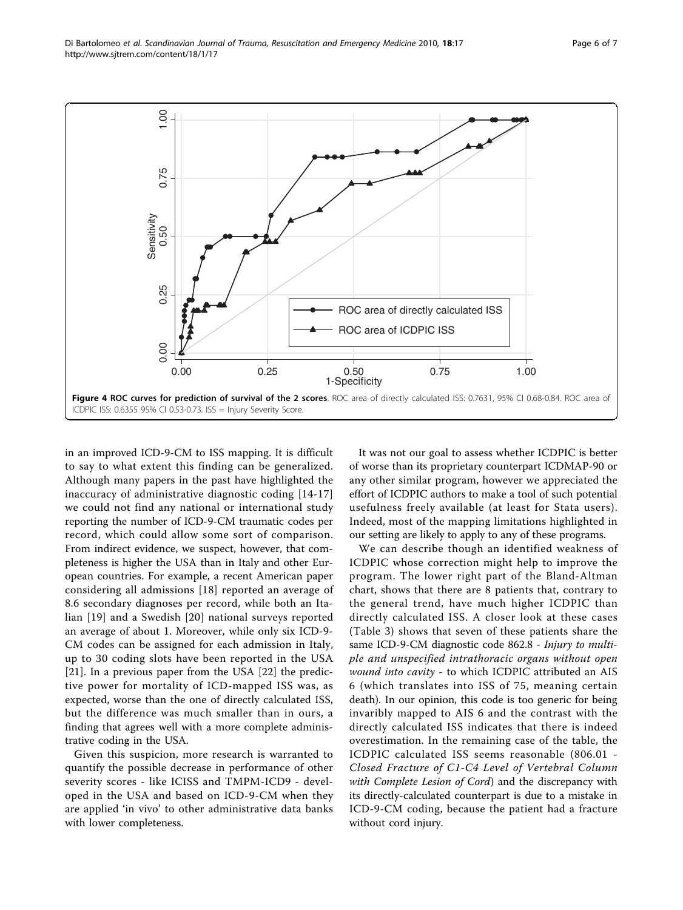<span id="page-5-0"></span>

in an improved ICD-9-CM to ISS mapping. It is difficult to say to what extent this finding can be generalized. Although many papers in the past have highlighted the inaccuracy of administrative diagnostic coding [\[14-17](#page-6-0)] we could not find any national or international study reporting the number of ICD-9-CM traumatic codes per record, which could allow some sort of comparison. From indirect evidence, we suspect, however, that completeness is higher the USA than in Italy and other European countries. For example, a recent American paper considering all admissions [[18\]](#page-6-0) reported an average of 8.6 secondary diagnoses per record, while both an Italian [\[19](#page-6-0)] and a Swedish [[20\]](#page-6-0) national surveys reported an average of about 1. Moreover, while only six ICD-9- CM codes can be assigned for each admission in Italy, up to 30 coding slots have been reported in the USA [[21\]](#page-6-0). In a previous paper from the USA [[22](#page-6-0)] the predictive power for mortality of ICD-mapped ISS was, as expected, worse than the one of directly calculated ISS, but the difference was much smaller than in ours, a finding that agrees well with a more complete administrative coding in the USA.

Given this suspicion, more research is warranted to quantify the possible decrease in performance of other severity scores - like ICISS and TMPM-ICD9 - developed in the USA and based on ICD-9-CM when they are applied 'in vivo' to other administrative data banks with lower completeness.

It was not our goal to assess whether ICDPIC is better of worse than its proprietary counterpart ICDMAP-90 or any other similar program, however we appreciated the effort of ICDPIC authors to make a tool of such potential usefulness freely available (at least for Stata users). Indeed, most of the mapping limitations highlighted in our setting are likely to apply to any of these programs.

We can describe though an identified weakness of ICDPIC whose correction might help to improve the program. The lower right part of the Bland-Altman chart, shows that there are 8 patients that, contrary to the general trend, have much higher ICDPIC than directly calculated ISS. A closer look at these cases (Table [3\)](#page-4-0) shows that seven of these patients share the same ICD-9-CM diagnostic code 862.8 - Injury to multiple and unspecified intrathoracic organs without open wound into cavity - to which ICDPIC attributed an AIS 6 (which translates into ISS of 75, meaning certain death). In our opinion, this code is too generic for being invaribly mapped to AIS 6 and the contrast with the directly calculated ISS indicates that there is indeed overestimation. In the remaining case of the table, the ICDPIC calculated ISS seems reasonable (806.01 - Closed Fracture of C1-C4 Level of Vertebral Column with Complete Lesion of Cord) and the discrepancy with its directly-calculated counterpart is due to a mistake in ICD-9-CM coding, because the patient had a fracture without cord injury.